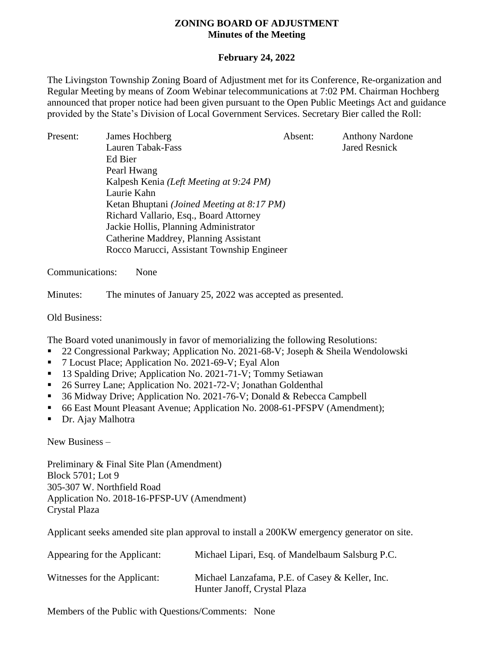## **ZONING BOARD OF ADJUSTMENT Minutes of the Meeting**

## **February 24, 2022**

The Livingston Township Zoning Board of Adjustment met for its Conference, Re-organization and Regular Meeting by means of Zoom Webinar telecommunications at 7:02 PM. Chairman Hochberg announced that proper notice had been given pursuant to the Open Public Meetings Act and guidance provided by the State's Division of Local Government Services. Secretary Bier called the Roll:

Present: James Hochberg Absent: Anthony Nardone Lauren Tabak-Fass Jared Resnick Ed Bier Pearl Hwang Kalpesh Kenia *(Left Meeting at 9:24 PM)* Laurie Kahn Ketan Bhuptani *(Joined Meeting at 8:17 PM)* Richard Vallario, Esq., Board Attorney Jackie Hollis, Planning Administrator Catherine Maddrey, Planning Assistant Rocco Marucci, Assistant Township Engineer

Communications: None

Minutes: The minutes of January 25, 2022 was accepted as presented.

Old Business:

The Board voted unanimously in favor of memorializing the following Resolutions:

- <sup>22</sup> Congressional Parkway; Application No. 2021-68-V; Joseph & Sheila Wendolowski
- 7 Locust Place; Application No. 2021-69-V; Eyal Alon
- <sup>1</sup> 13 Spalding Drive; Application No. 2021-71-V; Tommy Setiawan
- 26 Surrey Lane; Application No. 2021-72-V; Jonathan Goldenthal
- 36 Midway Drive; Application No. 2021-76-V; Donald & Rebecca Campbell
- 66 East Mount Pleasant Avenue; Application No. 2008-61-PFSPV (Amendment);
- Dr. Ajay Malhotra

New Business –

Preliminary & Final Site Plan (Amendment) Block 5701; Lot 9 305-307 W. Northfield Road Application No. 2018-16-PFSP-UV (Amendment) Crystal Plaza

Applicant seeks amended site plan approval to install a 200KW emergency generator on site.

| Appearing for the Applicant: | Michael Lipari, Esq. of Mandelbaum Salsburg P.C.                                |
|------------------------------|---------------------------------------------------------------------------------|
| Witnesses for the Applicant: | Michael Lanzafama, P.E. of Casey & Keller, Inc.<br>Hunter Janoff, Crystal Plaza |

Members of the Public with Questions/Comments: None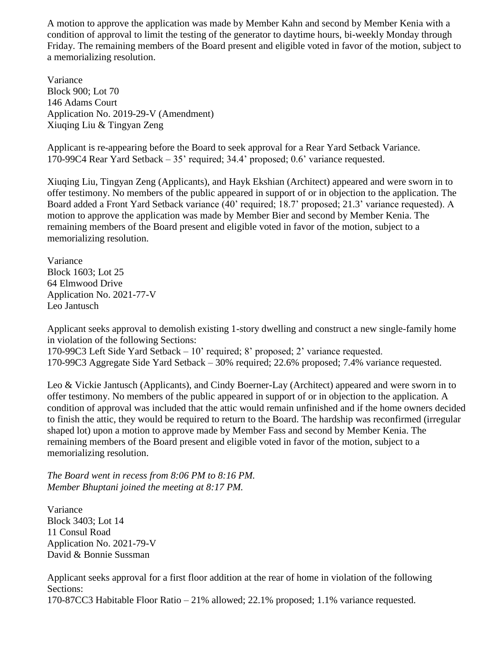A motion to approve the application was made by Member Kahn and second by Member Kenia with a condition of approval to limit the testing of the generator to daytime hours, bi-weekly Monday through Friday. The remaining members of the Board present and eligible voted in favor of the motion, subject to a memorializing resolution.

Variance Block 900; Lot 70 146 Adams Court Application No. 2019-29-V (Amendment) Xiuqing Liu & Tingyan Zeng

Applicant is re-appearing before the Board to seek approval for a Rear Yard Setback Variance. 170-99C4 Rear Yard Setback – 35' required; 34.4' proposed; 0.6' variance requested.

Xiuqing Liu, Tingyan Zeng (Applicants), and Hayk Ekshian (Architect) appeared and were sworn in to offer testimony. No members of the public appeared in support of or in objection to the application. The Board added a Front Yard Setback variance (40' required; 18.7' proposed; 21.3' variance requested). A motion to approve the application was made by Member Bier and second by Member Kenia. The remaining members of the Board present and eligible voted in favor of the motion, subject to a memorializing resolution.

Variance Block 1603; Lot 25 64 Elmwood Drive Application No. 2021-77-V Leo Jantusch

Applicant seeks approval to demolish existing 1-story dwelling and construct a new single-family home in violation of the following Sections:

170-99C3 Left Side Yard Setback – 10' required; 8' proposed; 2' variance requested. 170-99C3 Aggregate Side Yard Setback – 30% required; 22.6% proposed; 7.4% variance requested.

Leo & Vickie Jantusch (Applicants), and Cindy Boerner-Lay (Architect) appeared and were sworn in to offer testimony. No members of the public appeared in support of or in objection to the application. A condition of approval was included that the attic would remain unfinished and if the home owners decided to finish the attic, they would be required to return to the Board. The hardship was reconfirmed (irregular shaped lot) upon a motion to approve made by Member Fass and second by Member Kenia. The remaining members of the Board present and eligible voted in favor of the motion, subject to a memorializing resolution.

*The Board went in recess from 8:06 PM to 8:16 PM. Member Bhuptani joined the meeting at 8:17 PM.*

Variance Block 3403; Lot 14 11 Consul Road Application No. 2021-79-V David & Bonnie Sussman

Applicant seeks approval for a first floor addition at the rear of home in violation of the following Sections:

170-87CC3 Habitable Floor Ratio – 21% allowed; 22.1% proposed; 1.1% variance requested.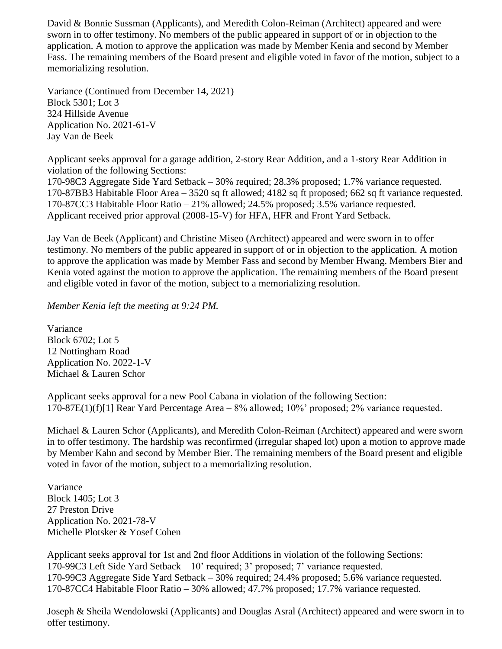David & Bonnie Sussman (Applicants), and Meredith Colon-Reiman (Architect) appeared and were sworn in to offer testimony. No members of the public appeared in support of or in objection to the application. A motion to approve the application was made by Member Kenia and second by Member Fass. The remaining members of the Board present and eligible voted in favor of the motion, subject to a memorializing resolution.

Variance (Continued from December 14, 2021) Block 5301; Lot 3 324 Hillside Avenue Application No. 2021-61-V Jay Van de Beek

Applicant seeks approval for a garage addition, 2-story Rear Addition, and a 1-story Rear Addition in violation of the following Sections:

170-98C3 Aggregate Side Yard Setback – 30% required; 28.3% proposed; 1.7% variance requested. 170-87BB3 Habitable Floor Area – 3520 sq ft allowed; 4182 sq ft proposed; 662 sq ft variance requested. 170-87CC3 Habitable Floor Ratio – 21% allowed; 24.5% proposed; 3.5% variance requested. Applicant received prior approval (2008-15-V) for HFA, HFR and Front Yard Setback.

Jay Van de Beek (Applicant) and Christine Miseo (Architect) appeared and were sworn in to offer testimony. No members of the public appeared in support of or in objection to the application. A motion to approve the application was made by Member Fass and second by Member Hwang. Members Bier and Kenia voted against the motion to approve the application. The remaining members of the Board present and eligible voted in favor of the motion, subject to a memorializing resolution.

*Member Kenia left the meeting at 9:24 PM.*

Variance Block 6702; Lot 5 12 Nottingham Road Application No. 2022-1-V Michael & Lauren Schor

Applicant seeks approval for a new Pool Cabana in violation of the following Section: 170-87E(1)(f)[1] Rear Yard Percentage Area – 8% allowed; 10%' proposed; 2% variance requested.

Michael & Lauren Schor (Applicants), and Meredith Colon-Reiman (Architect) appeared and were sworn in to offer testimony. The hardship was reconfirmed (irregular shaped lot) upon a motion to approve made by Member Kahn and second by Member Bier. The remaining members of the Board present and eligible voted in favor of the motion, subject to a memorializing resolution.

Variance Block 1405; Lot 3 27 Preston Drive Application No. 2021-78-V Michelle Plotsker & Yosef Cohen

Applicant seeks approval for 1st and 2nd floor Additions in violation of the following Sections: 170-99C3 Left Side Yard Setback – 10' required; 3' proposed; 7' variance requested. 170-99C3 Aggregate Side Yard Setback – 30% required; 24.4% proposed; 5.6% variance requested. 170-87CC4 Habitable Floor Ratio – 30% allowed; 47.7% proposed; 17.7% variance requested.

Joseph & Sheila Wendolowski (Applicants) and Douglas Asral (Architect) appeared and were sworn in to offer testimony.